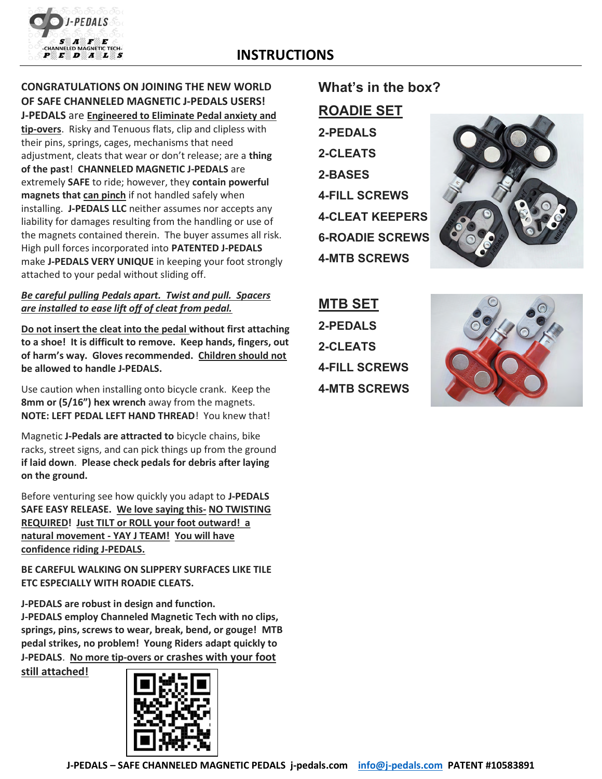

## CONGRATULATIONS ON JOINING THE NEW WORLD OF SAFE CHANNELED MAGNETIC J-PEDALS USERS!

J-PEDALS are Engineered to Eliminate Pedal anxiety and tip-overs. Risky and Tenuous flats, clip and clipless with their pins, springs, cages, mechanisms that need adjustment, cleats that wear or don't release; are a thing of the past! CHANNELED MAGNETIC J-PEDALS are extremely SAFE to ride; however, they contain powerful magnets that can pinch if not handled safely when installing. J-PEDALS LLC neither assumes nor accepts any liability for damages resulting from the handling or use of the magnets contained therein. The buyer assumes all risk. High pull forces incorporated into PATENTED J-PEDALS make J-PEDALS VERY UNIQUE in keeping your foot strongly attached to your pedal without sliding off.

## Be careful pulling Pedals apart. Twist and pull. Spacers are installed to ease lift off of cleat from pedal.

Do not insert the cleat into the pedal without first attaching to a shoe! It is difficult to remove. Keep hands, fingers, out of harm's way. Gloves recommended. Children should not be allowed to handle J-PEDALS.

Use caution when installing onto bicycle crank. Keep the 8mm or (5/16") hex wrench away from the magnets. NOTE: LEFT PEDAL LEFT HAND THREAD! You knew that!

Magnetic J-Pedals are attracted to bicycle chains, bike racks, street signs, and can pick things up from the ground if laid down. Please check pedals for debris after laying on the ground.

Before venturing see how quickly you adapt to J-PEDALS SAFE EASY RELEASE. We love saying this- NO TWISTING REQUIRED! Just TILT or ROLL your foot outward! a natural movement - YAY J TEAM! You will have confidence riding J-PEDALS.

BE CAREFUL WALKING ON SLIPPERY SURFACES LIKE TILE ETC ESPECIALLY WITH ROADIE CLEATS.

J-PEDALS are robust in design and function. J-PEDALS employ Channeled Magnetic Tech with no clips, springs, pins, screws to wear, break, bend, or gouge! MTB pedal strikes, no problem! Young Riders adapt quickly to J-PEDALS. No more tip-overs or crashes with your foot

still attached!



## What's in the box? ROADIE SET 2-PEDALS 2-CLEATS 2-BASES 4-FILL SCREWS 4-CLEAT KEEPERS 6-ROADIE SCREWS

4-MTB SCREWS

MTB SET 2-PEDALS 2-CLEATS 4-FILL SCREWS 4-MTB SCREWS